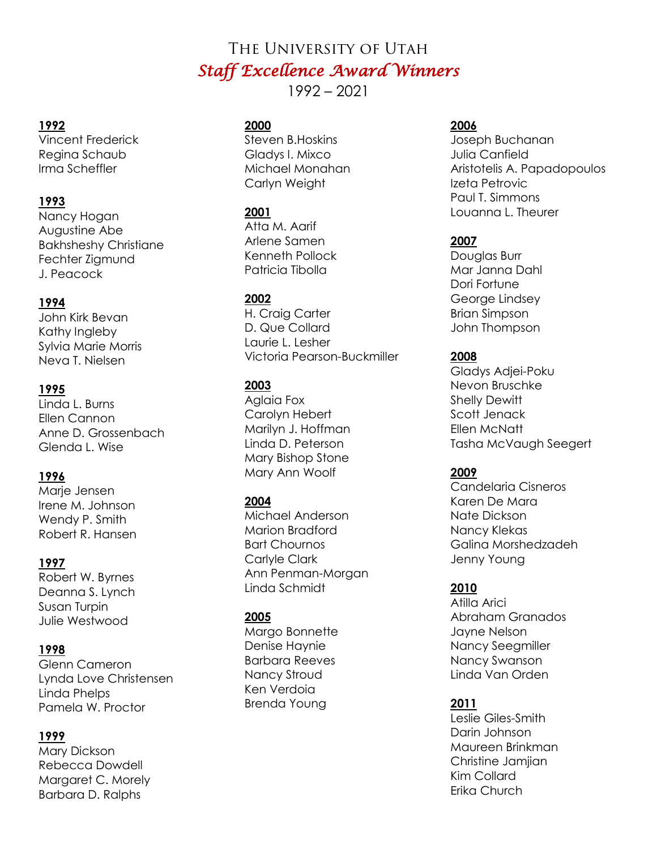# The University of Utah *Staff Excellence Award Winners*

1992 – 2021

## **1992**

Vincent Frederick Regina Schaub Irma Scheffler

# **1993**

Nancy Hogan Augustine Abe Bakhsheshy Christiane Fechter Zigmund J. Peacock

# **1994**

John Kirk Bevan Kathy Ingleby Sylvia Marie Morris Neva T. Nielsen

# **1995**

Linda L. Burns Ellen Cannon Anne D. Grossenbach Glenda L. Wise

# **1996**

Marje Jensen Irene M. Johnson Wendy P. Smith Robert R. Hansen

#### **1997**

Robert W. Byrnes Deanna S. Lynch Susan Turpin Julie Westwood

#### **1998**

Glenn Cameron Lynda Love Christensen Linda Phelps Pamela W. Proctor

#### **1999**

Mary Dickson Rebecca Dowdell Margaret C. Morely Barbara D. Ralphs

#### **2000**

Steven B.Hoskins Gladys I. Mixco Michael Monahan Carlyn Weight

#### **2001**

Atta M. Aarif Arlene Samen Kenneth Pollock Patricia Tibolla

## **2002**

H. Craig Carter D. Que Collard Laurie L. Lesher Victoria Pearson-Buckmiller

## **2003**

Aglaia Fox Carolyn Hebert Marilyn J. Hoffman Linda D. Peterson Mary Bishop Stone Mary Ann Woolf

# **2004**

Michael Anderson Marion Bradford Bart Chournos Carlyle Clark Ann Penman-Morgan Linda Schmidt

#### **2005**

Margo Bonnette Denise Haynie Barbara Reeves Nancy Stroud Ken Verdoia Brenda Young

#### **2006**

Joseph Buchanan Julia Canfield Aristotelis A. Papadopoulos Izeta Petrovic Paul T. Simmons Louanna L. Theurer

#### **2007**

Douglas Burr Mar Janna Dahl Dori Fortune George Lindsey Brian Simpson John Thompson

#### **2008**

Gladys Adjei-Poku Nevon Bruschke Shelly Dewitt Scott Jenack Ellen McNatt Tasha McVaugh Seegert

#### **2009**

Candelaria Cisneros Karen De Mara Nate Dickson Nancy Klekas Galina Morshedzadeh Jenny Young

# **2010**

Atilla Arici Abraham Granados Jayne Nelson Nancy Seegmiller Nancy Swanson Linda Van Orden

# **2011**

Leslie Giles-Smith Darin Johnson Maureen Brinkman Christine Jamjian Kim Collard Erika Church